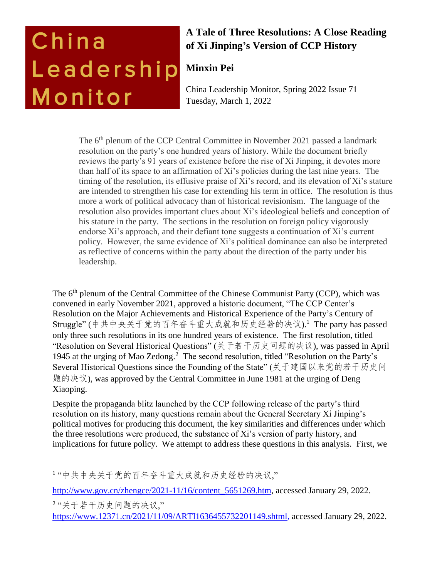# China Leadership Monitor

# **A Tale of Three Resolutions: A Close Reading of Xi Jinping's Version of CCP History**

## **Minxin Pei**

China Leadership Monitor, Spring 2022 Issue 71 Tuesday, March 1, 2022

The 6<sup>th</sup> plenum of the CCP Central Committee in November 2021 passed a landmark resolution on the party's one hundred years of history. While the document briefly reviews the party's 91 years of existence before the rise of Xi Jinping, it devotes more than half of its space to an affirmation of Xi's policies during the last nine years. The timing of the resolution, its effusive praise of Xi's record, and its elevation of Xi's stature are intended to strengthen his case for extending his term in office. The resolution is thus more a work of political advocacy than of historical revisionism. The language of the resolution also provides important clues about Xi's ideological beliefs and conception of his stature in the party. The sections in the resolution on foreign policy vigorously endorse Xi's approach, and their defiant tone suggests a continuation of Xi's current policy. However, the same evidence of Xi's political dominance can also be interpreted as reflective of concerns within the party about the direction of the party under his leadership.

The 6<sup>th</sup> plenum of the Central Committee of the Chinese Communist Party (CCP), which was convened in early November 2021, approved a historic document, "The CCP Center's Resolution on the Major Achievements and Historical Experience of the Party's Century of Struggle" (中共中央关于党的百年奋斗重大成就和历史经验的决议).<sup>1</sup> The party has passed only three such resolutions in its one hundred years of existence. The first resolution, titled "Resolution on Several Historical Questions" (关于若干历史问题的决议), was passed in April 1945 at the urging of Mao Zedong.<sup>2</sup> The second resolution, titled "Resolution on the Party's Several Historical Questions since the Founding of the State" (关于建国以来党的若干历史问 题的决议), was approved by the Central Committee in June 1981 at the urging of Deng Xiaoping.

Despite the propaganda blitz launched by the CCP following release of the party's third resolution on its history, many questions remain about the General Secretary Xi Jinping's political motives for producing this document, the key similarities and differences under which the three resolutions were produced, the substance of Xi's version of party history, and implications for future policy. We attempt to address these questions in this analysis. First, we

<sup>1</sup> "中共中央关于党的百年奋斗重大成就和历史经验的决议,"

[http://www.gov.cn/zhengce/2021-11/16/content\\_5651269.htm,](http://www.gov.cn/zhengce/2021-11/16/content_5651269.htm) accessed January 29, 2022.

<sup>2</sup> "关于若干历史问题的决议," [https://www.12371.cn/2021/11/09/ARTI1636455732201149.shtml,](https://www.12371.cn/2021/11/09/ARTI1636455732201149.shtml) accessed January 29, 2022.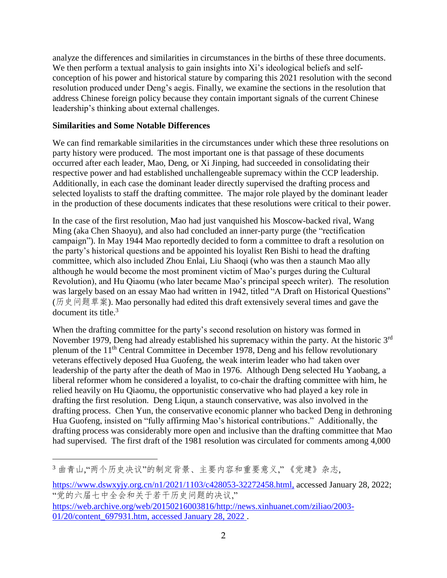analyze the differences and similarities in circumstances in the births of these three documents. We then perform a textual analysis to gain insights into Xi's ideological beliefs and selfconception of his power and historical stature by comparing this 2021 resolution with the second resolution produced under Deng's aegis. Finally, we examine the sections in the resolution that address Chinese foreign policy because they contain important signals of the current Chinese leadership's thinking about external challenges.

#### **Similarities and Some Notable Differences**

 $\overline{a}$ 

We can find remarkable similarities in the circumstances under which these three resolutions on party history were produced. The most important one is that passage of these documents occurred after each leader, Mao, Deng, or Xi Jinping, had succeeded in consolidating their respective power and had established unchallengeable supremacy within the CCP leadership. Additionally, in each case the dominant leader directly supervised the drafting process and selected loyalists to staff the drafting committee. The major role played by the dominant leader in the production of these documents indicates that these resolutions were critical to their power.

In the case of the first resolution, Mao had just vanquished his Moscow-backed rival, Wang Ming (aka Chen Shaoyu), and also had concluded an inner-party purge (the "rectification campaign"). In May 1944 Mao reportedly decided to form a committee to draft a resolution on the party's historical questions and be appointed his loyalist Ren Bishi to head the drafting committee, which also included Zhou Enlai, Liu Shaoqi (who was then a staunch Mao ally although he would become the most prominent victim of Mao's purges during the Cultural Revolution), and Hu Qiaomu (who later became Mao's principal speech writer). The resolution was largely based on an essay Mao had written in 1942, titled "A Draft on Historical Questions" (历史问题草案). Mao personally had edited this draft extensively several times and gave the document its title. $3$ 

When the drafting committee for the party's second resolution on history was formed in November 1979, Deng had already established his supremacy within the party. At the historic 3<sup>rd</sup> plenum of the 11th Central Committee in December 1978, Deng and his fellow revolutionary veterans effectively deposed Hua Guofeng, the weak interim leader who had taken over leadership of the party after the death of Mao in 1976. Although Deng selected Hu Yaobang, a liberal reformer whom he considered a loyalist, to co-chair the drafting committee with him, he relied heavily on Hu Qiaomu, the opportunistic conservative who had played a key role in drafting the first resolution. Deng Liqun, a staunch conservative, was also involved in the drafting process. Chen Yun, the conservative economic planner who backed Deng in dethroning Hua Guofeng, insisted on "fully affirming Mao's historical contributions." Additionally, the drafting process was considerably more open and inclusive than the drafting committee that Mao had supervised. The first draft of the 1981 resolution was circulated for comments among 4,000

[https://www.dswxyjy.org.cn/n1/2021/1103/c428053-32272458.html,](https://www.dswxyjy.org.cn/n1/2021/1103/c428053-32272458.html) accessed January 28, 2022; "党的六届七中全会和关于若干历史问题的决议," [https://web.archive.org/web/20150216003816/http://news.xinhuanet.com/ziliao/2003-](https://web.archive.org/web/20150216003816/http:/news.xinhuanet.com/ziliao/2003-01/20/content_697931.htm,%20accessed%20January%2028,%202022) [01/20/content\\_697931.htm,](https://web.archive.org/web/20150216003816/http:/news.xinhuanet.com/ziliao/2003-01/20/content_697931.htm,%20accessed%20January%2028,%202022) accessed January 28, 2022 .

<sup>3</sup> 曲青山,"两个历史决议"的制定背景、主要内容和重要意义," 《党建》杂志,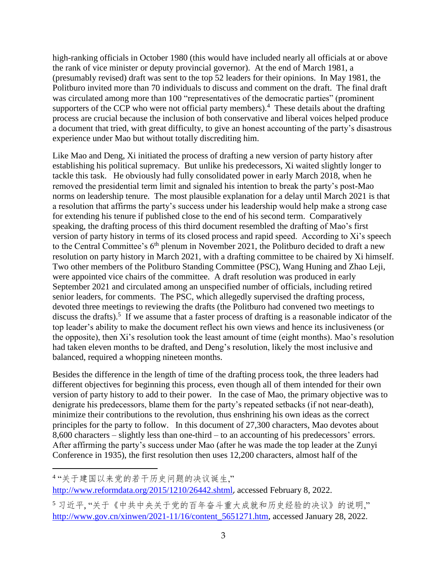high-ranking officials in October 1980 (this would have included nearly all officials at or above the rank of vice minister or deputy provincial governor). At the end of March 1981, a (presumably revised) draft was sent to the top 52 leaders for their opinions. In May 1981, the Politburo invited more than 70 individuals to discuss and comment on the draft. The final draft was circulated among more than 100 "representatives of the democratic parties" (prominent supporters of the CCP who were not official party members).<sup>4</sup> These details about the drafting process are crucial because the inclusion of both conservative and liberal voices helped produce a document that tried, with great difficulty, to give an honest accounting of the party's disastrous experience under Mao but without totally discrediting him.

Like Mao and Deng, Xi initiated the process of drafting a new version of party history after establishing his political supremacy. But unlike his predecessors, Xi waited slightly longer to tackle this task. He obviously had fully consolidated power in early March 2018, when he removed the presidential term limit and signaled his intention to break the party's post-Mao norms on leadership tenure. The most plausible explanation for a delay until March 2021 is that a resolution that affirms the party's success under his leadership would help make a strong case for extending his tenure if published close to the end of his second term. Comparatively speaking, the drafting process of this third document resembled the drafting of Mao's first version of party history in terms of its closed process and rapid speed. According to Xi's speech to the Central Committee's 6<sup>th</sup> plenum in November 2021, the Politburo decided to draft a new resolution on party history in March 2021, with a drafting committee to be chaired by Xi himself. Two other members of the Politburo Standing Committee (PSC), Wang Huning and Zhao Leji, were appointed vice chairs of the committee. A draft resolution was produced in early September 2021 and circulated among an unspecified number of officials, including retired senior leaders, for comments. The PSC, which allegedly supervised the drafting process, devoted three meetings to reviewing the drafts (the Politburo had convened two meetings to discuss the drafts).<sup>5</sup> If we assume that a faster process of drafting is a reasonable indicator of the top leader's ability to make the document reflect his own views and hence its inclusiveness (or the opposite), then Xi's resolution took the least amount of time (eight months). Mao's resolution had taken eleven months to be drafted, and Deng's resolution, likely the most inclusive and balanced, required a whopping nineteen months.

Besides the difference in the length of time of the drafting process took, the three leaders had different objectives for beginning this process, even though all of them intended for their own version of party history to add to their power. In the case of Mao, the primary objective was to denigrate his predecessors, blame them for the party's repeated setbacks (if not near-death), minimize their contributions to the revolution, thus enshrining his own ideas as the correct principles for the party to follow. In this document of 27,300 characters, Mao devotes about 8,600 characters – slightly less than one-third – to an accounting of his predecessors' errors. After affirming the party's success under Mao (after he was made the top leader at the Zunyi Conference in 1935), the first resolution then uses 12,200 characters, almost half of the

<sup>4</sup> "关于建国以来党的若干历史问题的决议诞生,"

<http://www.reformdata.org/2015/1210/26442.shtml>, accessed February 8, 2022.

<sup>5</sup> 习近平, "关于《中共中央关于党的百年奋斗重大成就和历史经验的决议》的说明," [http://www.gov.cn/xinwen/2021-11/16/content\\_5651271.htm,](http://www.gov.cn/xinwen/2021-11/16/content_5651271.htm) accessed January 28, 2022.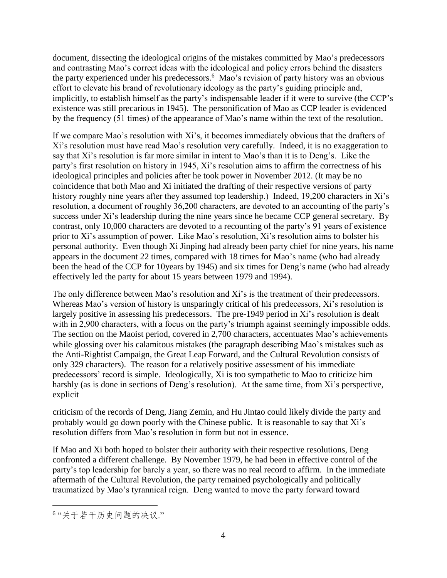document, dissecting the ideological origins of the mistakes committed by Mao's predecessors and contrasting Mao's correct ideas with the ideological and policy errors behind the disasters the party experienced under his predecessors.<sup>6</sup> Mao's revision of party history was an obvious effort to elevate his brand of revolutionary ideology as the party's guiding principle and, implicitly, to establish himself as the party's indispensable leader if it were to survive (the CCP's existence was still precarious in 1945). The personification of Mao as CCP leader is evidenced by the frequency (51 times) of the appearance of Mao's name within the text of the resolution.

If we compare Mao's resolution with Xi's, it becomes immediately obvious that the drafters of Xi's resolution must have read Mao's resolution very carefully. Indeed, it is no exaggeration to say that Xi's resolution is far more similar in intent to Mao's than it is to Deng's. Like the party's first resolution on history in 1945, Xi's resolution aims to affirm the correctness of his ideological principles and policies after he took power in November 2012. (It may be no coincidence that both Mao and Xi initiated the drafting of their respective versions of party history roughly nine years after they assumed top leadership.) Indeed, 19,200 characters in Xi's resolution, a document of roughly 36,200 characters, are devoted to an accounting of the party's success under Xi's leadership during the nine years since he became CCP general secretary. By contrast, only 10,000 characters are devoted to a recounting of the party's 91 years of existence prior to Xi's assumption of power. Like Mao's resolution, Xi's resolution aims to bolster his personal authority. Even though Xi Jinping had already been party chief for nine years, his name appears in the document 22 times, compared with 18 times for Mao's name (who had already been the head of the CCP for 10years by 1945) and six times for Deng's name (who had already effectively led the party for about 15 years between 1979 and 1994).

The only difference between Mao's resolution and Xi's is the treatment of their predecessors. Whereas Mao's version of history is unsparingly critical of his predecessors, Xi's resolution is largely positive in assessing his predecessors. The pre-1949 period in Xi's resolution is dealt with in 2,900 characters, with a focus on the party's triumph against seemingly impossible odds. The section on the Maoist period, covered in 2,700 characters, accentuates Mao's achievements while glossing over his calamitous mistakes (the paragraph describing Mao's mistakes such as the Anti-Rightist Campaign, the Great Leap Forward, and the Cultural Revolution consists of only 329 characters). The reason for a relatively positive assessment of his immediate predecessors' record is simple. Ideologically, Xi is too sympathetic to Mao to criticize him harshly (as is done in sections of Deng's resolution). At the same time, from Xi's perspective, explicit

criticism of the records of Deng, Jiang Zemin, and Hu Jintao could likely divide the party and probably would go down poorly with the Chinese public. It is reasonable to say that Xi's resolution differs from Mao's resolution in form but not in essence.

If Mao and Xi both hoped to bolster their authority with their respective resolutions, Deng confronted a different challenge. By November 1979, he had been in effective control of the party's top leadership for barely a year, so there was no real record to affirm. In the immediate aftermath of the Cultural Revolution, the party remained psychologically and politically traumatized by Mao's tyrannical reign. Deng wanted to move the party forward toward

<sup>6</sup> "关于若干历史问题的决议."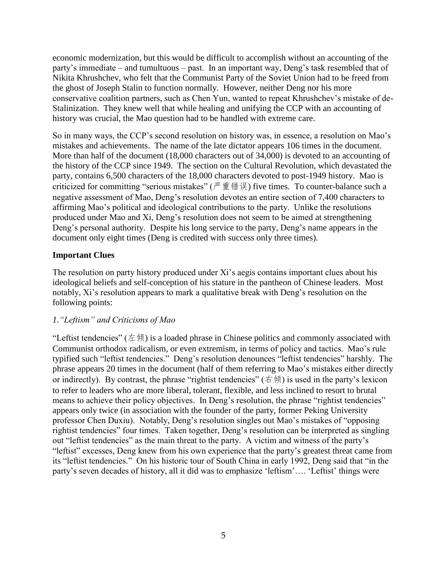economic modernization, but this would be difficult to accomplish without an accounting of the party's immediate – and tumultuous – past. In an important way, Deng's task resembled that of Nikita Khrushchev, who felt that the Communist Party of the Soviet Union had to be freed from the ghost of Joseph Stalin to function normally. However, neither Deng nor his more conservative coalition partners, such as Chen Yun, wanted to repeat Khrushchev's mistake of de-Stalinization. They knew well that while healing and unifying the CCP with an accounting of history was crucial, the Mao question had to be handled with extreme care.

So in many ways, the CCP's second resolution on history was, in essence, a resolution on Mao's mistakes and achievements. The name of the late dictator appears 106 times in the document. More than half of the document (18,000 characters out of 34,000) is devoted to an accounting of the history of the CCP since 1949. The section on the Cultural Revolution, which devastated the party, contains 6,500 characters of the 18,000 characters devoted to post-1949 history. Mao is criticized for committing "serious mistakes" (严重错误) five times. To counter-balance such a negative assessment of Mao, Deng's resolution devotes an entire section of 7,400 characters to affirming Mao's political and ideological contributions to the party. Unlike the resolutions produced under Mao and Xi, Deng's resolution does not seem to be aimed at strengthening Deng's personal authority. Despite his long service to the party, Deng's name appears in the document only eight times (Deng is credited with success only three times).

## **Important Clues**

The resolution on party history produced under Xi's aegis contains important clues about his ideological beliefs and self-conception of his stature in the pantheon of Chinese leaders. Most notably, Xi's resolution appears to mark a qualitative break with Deng's resolution on the following points:

#### *1."Leftism" and Criticisms of Mao*

"Leftist tendencies" ( $\pm \infty$ ) is a loaded phrase in Chinese politics and commonly associated with Communist orthodox radicalism, or even extremism, in terms of policy and tactics. Mao's rule typified such "leftist tendencies." Deng's resolution denounces "leftist tendencies" harshly. The phrase appears 20 times in the document (half of them referring to Mao's mistakes either directly or indirectly). By contrast, the phrase "rightist tendencies" ( $\phi \notin \mathfrak{h}$ ) is used in the party's lexicon to refer to leaders who are more liberal, tolerant, flexible, and less inclined to resort to brutal means to achieve their policy objectives. In Deng's resolution, the phrase "rightist tendencies" appears only twice (in association with the founder of the party, former Peking University professor Chen Duxiu). Notably, Deng's resolution singles out Mao's mistakes of "opposing rightist tendencies" four times. Taken together, Deng's resolution can be interpreted as singling out "leftist tendencies" as the main threat to the party. A victim and witness of the party's "leftist" excesses, Deng knew from his own experience that the party's greatest threat came from its "leftist tendencies." On his historic tour of South China in early 1992, Deng said that "in the party's seven decades of history, all it did was to emphasize 'leftism'…. 'Leftist' things were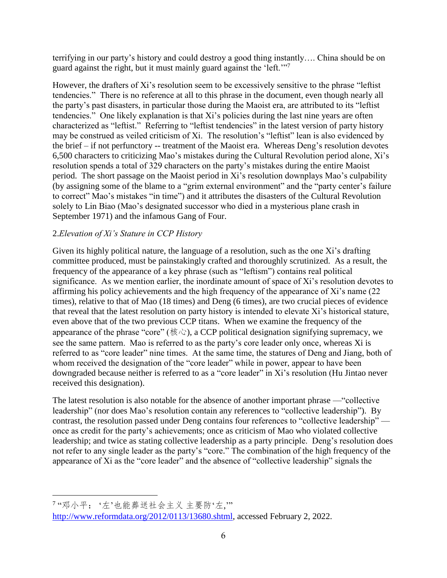terrifying in our party's history and could destroy a good thing instantly…. China should be on guard against the right, but it must mainly guard against the 'left.'"<sup>7</sup>

However, the drafters of Xi's resolution seem to be excessively sensitive to the phrase "leftist tendencies." There is no reference at all to this phrase in the document, even though nearly all the party's past disasters, in particular those during the Maoist era, are attributed to its "leftist tendencies." One likely explanation is that Xi's policies during the last nine years are often characterized as "leftist." Referring to "leftist tendencies" in the latest version of party history may be construed as veiled criticism of Xi. The resolution's "leftist" lean is also evidenced by the brief – if not perfunctory -- treatment of the Maoist era. Whereas Deng's resolution devotes 6,500 characters to criticizing Mao's mistakes during the Cultural Revolution period alone, Xi's resolution spends a total of 329 characters on the party's mistakes during the entire Maoist period. The short passage on the Maoist period in Xi's resolution downplays Mao's culpability (by assigning some of the blame to a "grim external environment" and the "party center's failure to correct" Mao's mistakes "in time") and it attributes the disasters of the Cultural Revolution solely to Lin Biao (Mao's designated successor who died in a mysterious plane crash in September 1971) and the infamous Gang of Four.

## 2.*Elevation of Xi's Stature in CCP History*

Given its highly political nature, the language of a resolution, such as the one Xi's drafting committee produced, must be painstakingly crafted and thoroughly scrutinized. As a result, the frequency of the appearance of a key phrase (such as "leftism") contains real political significance. As we mention earlier, the inordinate amount of space of Xi's resolution devotes to affirming his policy achievements and the high frequency of the appearance of Xi's name (22 times), relative to that of Mao (18 times) and Deng (6 times), are two crucial pieces of evidence that reveal that the latest resolution on party history is intended to elevate Xi's historical stature, even above that of the two previous CCP titans. When we examine the frequency of the appearance of the phrase "core" (核心), a CCP political designation signifying supremacy, we see the same pattern. Mao is referred to as the party's core leader only once, whereas Xi is referred to as "core leader" nine times. At the same time, the statures of Deng and Jiang, both of whom received the designation of the "core leader" while in power, appear to have been downgraded because neither is referred to as a "core leader" in Xi's resolution (Hu Jintao never received this designation).

The latest resolution is also notable for the absence of another important phrase —"collective leadership" (nor does Mao's resolution contain any references to "collective leadership"). By contrast, the resolution passed under Deng contains four references to "collective leadership" once as credit for the party's achievements; once as criticism of Mao who violated collective leadership; and twice as stating collective leadership as a party principle. Deng's resolution does not refer to any single leader as the party's "core." The combination of the high frequency of the appearance of Xi as the "core leader" and the absence of "collective leadership" signals the

<sup>7</sup> "邓小平: '左'也能葬送社会主义 主要防'左,'"

[http://www.reformdata.org/2012/0113/13680.shtml,](http://www.reformdata.org/2012/0113/13680.shtml) accessed February 2, 2022.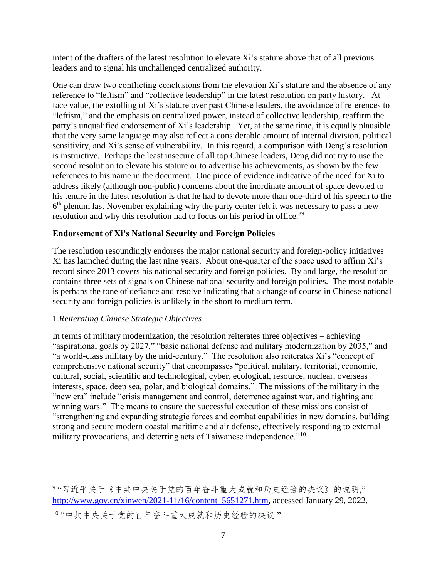intent of the drafters of the latest resolution to elevate Xi's stature above that of all previous leaders and to signal his unchallenged centralized authority.

One can draw two conflicting conclusions from the elevation Xi's stature and the absence of any reference to "leftism" and "collective leadership" in the latest resolution on party history. At face value, the extolling of Xi's stature over past Chinese leaders, the avoidance of references to "leftism," and the emphasis on centralized power, instead of collective leadership, reaffirm the party's unqualified endorsement of Xi's leadership. Yet, at the same time, it is equally plausible that the very same language may also reflect a considerable amount of internal division, political sensitivity, and Xi's sense of vulnerability. In this regard, a comparison with Deng's resolution is instructive. Perhaps the least insecure of all top Chinese leaders, Deng did not try to use the second resolution to elevate his stature or to advertise his achievements, as shown by the few references to his name in the document. One piece of evidence indicative of the need for Xi to address likely (although non-public) concerns about the inordinate amount of space devoted to his tenure in the latest resolution is that he had to devote more than one-third of his speech to the  $6<sup>th</sup>$  plenum last November explaining why the party center felt it was necessary to pass a new resolution and why this resolution had to focus on his period in office.<sup>89</sup>

## **Endorsement of Xi's National Security and Foreign Policies**

The resolution resoundingly endorses the major national security and foreign-policy initiatives Xi has launched during the last nine years. About one-quarter of the space used to affirm Xi's record since 2013 covers his national security and foreign policies. By and large, the resolution contains three sets of signals on Chinese national security and foreign policies. The most notable is perhaps the tone of defiance and resolve indicating that a change of course in Chinese national security and foreign policies is unlikely in the short to medium term.

#### 1.*Reiterating Chinese Strategic Objectives*

 $\overline{a}$ 

In terms of military modernization, the resolution reiterates three objectives – achieving "aspirational goals by 2027," "basic national defense and military modernization by 2035," and "a world-class military by the mid-century." The resolution also reiterates Xi's "concept of comprehensive national security" that encompasses "political, military, territorial, economic, cultural, social, scientific and technological, cyber, ecological, resource, nuclear, overseas interests, space, deep sea, polar, and biological domains." The missions of the military in the "new era" include "crisis management and control, deterrence against war, and fighting and winning wars." The means to ensure the successful execution of these missions consist of "strengthening and expanding strategic forces and combat capabilities in new domains, building strong and secure modern coastal maritime and air defense, effectively responding to external military provocations, and deterring acts of Taiwanese independence."<sup>10</sup>

<sup>9</sup> "习近平关于《中共中央关于党的百年奋斗重大成就和历史经验的决议》的说明," [http://www.gov.cn/xinwen/2021-11/16/content\\_5651271.htm,](http://www.gov.cn/xinwen/2021-11/16/content_5651271.htm) accessed January 29, 2022. 10 "中共中央关于党的百年奋斗重大成就和历史经验的决议."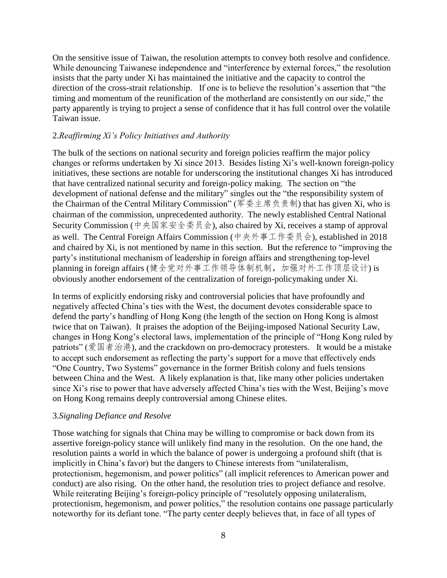On the sensitive issue of Taiwan, the resolution attempts to convey both resolve and confidence. While denouncing Taiwanese independence and "interference by external forces," the resolution insists that the party under Xi has maintained the initiative and the capacity to control the direction of the cross-strait relationship. If one is to believe the resolution's assertion that "the timing and momentum of the reunification of the motherland are consistently on our side," the party apparently is trying to project a sense of confidence that it has full control over the volatile Taiwan issue.

#### 2.*Reaffirming Xi's Policy Initiatives and Authority*

The bulk of the sections on national security and foreign policies reaffirm the major policy changes or reforms undertaken by Xi since 2013. Besides listing Xi's well-known foreign-policy initiatives, these sections are notable for underscoring the institutional changes Xi has introduced that have centralized national security and foreign-policy making. The section on "the development of national defense and the military" singles out the "the responsibility system of the Chairman of the Central Military Commission" (军委主席负责制) that has given Xi, who is chairman of the commission, unprecedented authority. The newly established Central National Security Commission (中央国家安全委员会), also chaired by Xi, receives a stamp of approval as well. The Central Foreign Affairs Commission (中央外事工作委员会), established in 2018 and chaired by Xi, is not mentioned by name in this section. But the reference to "improving the party's institutional mechanism of leadership in foreign affairs and strengthening top-level planning in foreign affairs (健全党对外事工作领导体制机制, 加强对外工作顶层设计) is obviously another endorsement of the centralization of foreign-policymaking under Xi.

In terms of explicitly endorsing risky and controversial policies that have profoundly and negatively affected China's ties with the West, the document devotes considerable space to defend the party's handling of Hong Kong (the length of the section on Hong Kong is almost twice that on Taiwan). It praises the adoption of the Beijing-imposed National Security Law, changes in Hong Kong's electoral laws, implementation of the principle of "Hong Kong ruled by patriots" (爱国者治港), and the crackdown on pro-democracy protesters. It would be a mistake to accept such endorsement as reflecting the party's support for a move that effectively ends "One Country, Two Systems" governance in the former British colony and fuels tensions between China and the West. A likely explanation is that, like many other policies undertaken since Xi's rise to power that have adversely affected China's ties with the West, Beijing's move on Hong Kong remains deeply controversial among Chinese elites.

#### 3.*Signaling Defiance and Resolve*

Those watching for signals that China may be willing to compromise or back down from its assertive foreign-policy stance will unlikely find many in the resolution. On the one hand, the resolution paints a world in which the balance of power is undergoing a profound shift (that is implicitly in China's favor) but the dangers to Chinese interests from "unilateralism, protectionism, hegemonism, and power politics" (all implicit references to American power and conduct) are also rising. On the other hand, the resolution tries to project defiance and resolve. While reiterating Beijing's foreign-policy principle of "resolutely opposing unilateralism, protectionism, hegemonism, and power politics," the resolution contains one passage particularly noteworthy for its defiant tone. "The party center deeply believes that, in face of all types of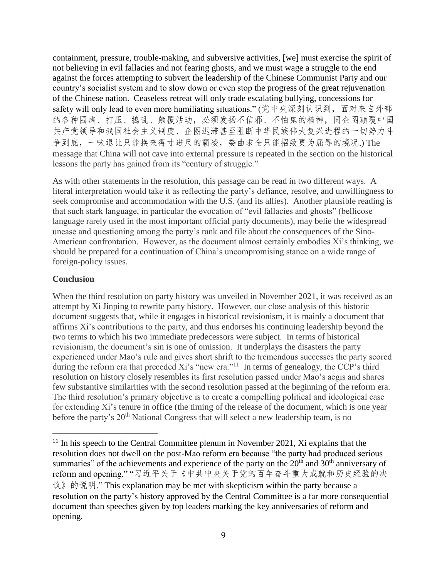containment, pressure, trouble-making, and subversive activities, [we] must exercise the spirit of not believing in evil fallacies and not fearing ghosts, and we must wage a struggle to the end against the forces attempting to subvert the leadership of the Chinese Communist Party and our country's socialist system and to slow down or even stop the progress of the great rejuvenation of the Chinese nation. Ceaseless retreat will only trade escalating bullying, concessions for safety will only lead to even more humiliating situations." (党中央深刻认识到,面对来自外部 的各种围堵、打压、捣乱、颠覆活动,必须发扬不信邪、不怕鬼的精神,同企图颠覆中国 共产党领导和我国社会主义制度、企图迟滞甚至阻断中华民族伟大复兴进程的一切势力斗 争到底,一味退让只能换来得寸进尺的霸凌,委曲求全只能招致更为屈辱的境况.) The message that China will not cave into external pressure is repeated in the section on the historical lessons the party has gained from its "century of struggle."

As with other statements in the resolution, this passage can be read in two different ways. A literal interpretation would take it as reflecting the party's defiance, resolve, and unwillingness to seek compromise and accommodation with the U.S. (and its allies). Another plausible reading is that such stark language, in particular the evocation of "evil fallacies and ghosts" (bellicose language rarely used in the most important official party documents), may belie the widespread unease and questioning among the party's rank and file about the consequences of the Sino-American confrontation. However, as the document almost certainly embodies Xi's thinking, we should be prepared for a continuation of China's uncompromising stance on a wide range of foreign-policy issues.

## **Conclusion**

 $\overline{a}$ 

When the third resolution on party history was unveiled in November 2021, it was received as an attempt by Xi Jinping to rewrite party history. However, our close analysis of this historic document suggests that, while it engages in historical revisionism, it is mainly a document that affirms Xi's contributions to the party, and thus endorses his continuing leadership beyond the two terms to which his two immediate predecessors were subject. In terms of historical revisionism, the document's sin is one of omission. It underplays the disasters the party experienced under Mao's rule and gives short shrift to the tremendous successes the party scored during the reform era that preceded Xi's "new era."<sup>11</sup> In terms of genealogy, the CCP's third resolution on history closely resembles its first resolution passed under Mao's aegis and shares few substantive similarities with the second resolution passed at the beginning of the reform era. The third resolution's primary objective is to create a compelling political and ideological case for extending Xi's tenure in office (the timing of the release of the document, which is one year before the party's  $20<sup>th</sup>$  National Congress that will select a new leadership team, is no

 $11$  In his speech to the Central Committee plenum in November 2021, Xi explains that the resolution does not dwell on the post-Mao reform era because "the party had produced serious summaries" of the achievements and experience of the party on the  $20<sup>th</sup>$  and  $30<sup>th</sup>$  anniversary of reform and opening." "习近平关于《中共中央关于党的百年奋斗重大成就和历史经验的决 议》的说明." This explanation may be met with skepticism within the party because a resolution on the party's history approved by the Central Committee is a far more consequential document than speeches given by top leaders marking the key anniversaries of reform and opening.